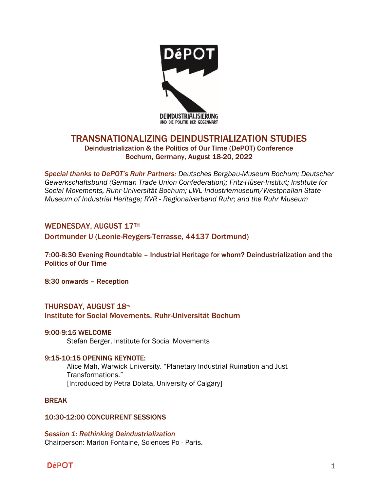

# TRANSNATIONALIZING DEINDUSTRIALIZATION STUDIES

## Deindustrialization & the Politics of Our Time (DePOT) Conference Bochum, Germany, August 18-20, 2022

*Special thanks to DePOT's Ruhr Partners: Deutsches Bergbau-Museum Bochum; Deutscher Gewerkschaftsbund (German Trade Union Confederation); Fritz-Hüser-Institut; Institute for Social Movements, Ruhr-Universität Bochum; LWL-Industriemuseum/Westphalian State Museum of Industrial Heritage; RVR - Regionalverband Ruhr; and the Ruhr Museum*

## WEDNESDAY, AUGUST 17TH

## Dortmunder U (Leonie-Reygers-Terrasse, 44137 Dortmund)

7:00-8:30 Evening Roundtable – Industrial Heritage for whom? Deindustrialization and the Politics of Our Time

8:30 onwards – Reception

## THURSDAY, AUGUST 18th Institute for Social Movements, Ruhr-Universität Bochum

## 9:00-9:15 WELCOME

Stefan Berger, Institute for Social Movements

## 9:15-10:15 OPENING KEYNOTE:

Alice Mah, Warwick University. "Planetary Industrial Ruination and Just Transformations." [Introduced by Petra Dolata, University of Calgary]

## BREAK

## 10:30-12:00 CONCURRENT SESSIONS

*Session 1: Rethinking Deindustrialization* Chairperson: Marion Fontaine, Sciences Po - Paris.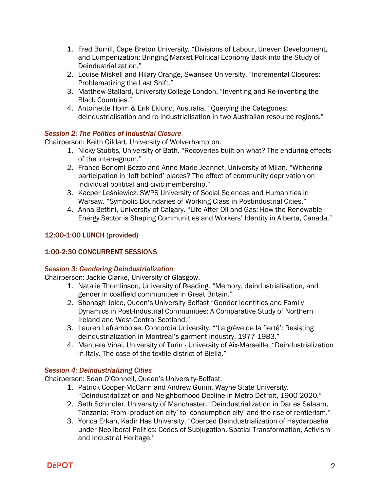- 1. Fred Burrill, Cape Breton University. "Divisions of Labour, Uneven Development, and Lumpenization: Bringing Marxist Political Economy Back into the Study of Deindustrialization."
- 2. Louise Miskell and Hilary Orange, Swansea University. "Incremental Closures: Problematizing the Last Shift."
- 3. Matthew Stallard, University College London. "Inventing and Re-inventing the Black Countries."
- 4. Antoinette Holm & Erik Eklund, Australia. "Querying the Categories: deindustrialisation and re-industrialisation in two Australian resource regions."

## *Session 2: The Politics of Industrial Closure*

Chairperson: Keith Gildart, University of Wolverhampton.

- 1. Nicky Stubbs, University of Bath. "Recoveries built on what? The enduring effects of the interregnum."
- 2. Franco Bonomi Bezzo and Anne-Marie Jeannet, University of Milan. "Withering participation in 'left behind' places? The effect of community deprivation on individual political and civic membership."
- 3. Kacper Leśniewicz, SWPS University of Social Sciences and Humanities in Warsaw. "Symbolic Boundaries of Working Class in Postindustrial Cities."
- 4. Anna Bettini, University of Calgary. "Life After Oil and Gas: How the Renewable Energy Sector is Shaping Communities and Workers' Identity in Alberta, Canada."

## 12:00-1:00 LUNCH (provided)

## 1:00-2:30 CONCURRENT SESSIONS

## *Session 3: Gendering Deindustrialization*

Chairperson: Jackie Clarke, University of Glasgow.

- 1. Natalie Thomlinson, University of Reading. "Memory, deindustrialisation, and gender in coalfield communities in Great Britain."
- 2. Shonagh Joice, Queen's University Belfast "Gender Identities and Family Dynamics in Post-Industrial Communities: A Comparative Study of Northern Ireland and West-Central Scotland."
- 3. Lauren Laframboise, Concordia University. "'La grève de la fierté': Resisting deindustrialization in Montréal's garment industry, 1977-1983."
- 4. Manuela Vinai, University of Turin University of Aix-Marseille. "Deindustrialization in Italy. The case of the textile district of Biella."

## *Session 4: Deindustrializing Cities*

Chairperson: Sean O'Connell, Queen's University-Belfast.

- 1. Patrick Cooper-McCann and Andrew Guinn, Wayne State University. "Deindustrialization and Neighborhood Decline in Metro Detroit, 1900-2020."
- 2. Seth Schindler, University of Manchester. "Deindustrialization in Dar es Salaam, Tanzania: From 'production city' to 'consumption city' and the rise of rentierism."
- 3. Yonca Erkan, Kadir Has University. "Coerced Deindustrialization of Haydarpasha under Neoliberal Politics: Codes of Subjugation, Spatial Transformation, Activism and Industrial Heritage."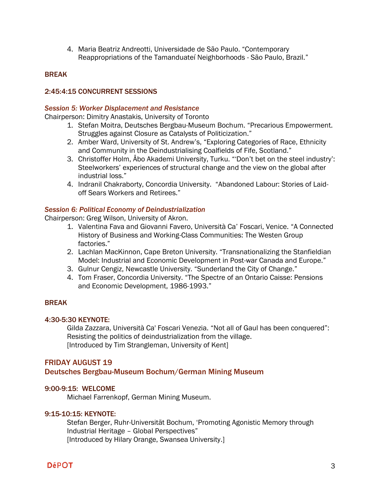4. Maria Beatriz Andreotti, Universidade de São Paulo. "Contemporary Reappropriations of the Tamanduateí Neighborhoods - São Paulo, Brazil."

## **BREAK**

## 2:45:4:15 CONCURRENT SESSIONS

### *Session 5: Worker Displacement and Resistance*

Chairperson: Dimitry Anastakis, University of Toronto

- 1. Stefan Moitra, Deutsches Bergbau-Museum Bochum. "Precarious Empowerment. Struggles against Closure as Catalysts of Politicization."
- 2. Amber Ward, University of St. Andrew's, "Exploring Categories of Race, Ethnicity and Community in the Deindustrialising Coalfields of Fife, Scotland."
- 3. Christoffer Holm, Åbo Akademi University, Turku. "'Don't bet on the steel industry': Steelworkers' experiences of structural change and the view on the global after industrial loss."
- 4. Indranil Chakraborty, Concordia University. "Abandoned Labour: Stories of Laidoff Sears Workers and Retirees."

### *Session 6: Political Economy of Deindustrialization*

Chairperson: Greg Wilson, University of Akron.

- 1. Valentina Fava and Giovanni Favero, Università Ca' Foscari, Venice. "A Connected History of Business and Working-Class Communities: The Westen Group factories."
- 2. Lachlan MacKinnon, Cape Breton University. "Transnationalizing the Stanfieldian Model: Industrial and Economic Development in Post-war Canada and Europe."
- 3. Gulnur Cengiz, Newcastle University. "Sunderland the City of Change."
- 4. Tom Fraser, Concordia University. "The Spectre of an Ontario Caisse: Pensions and Economic Development, 1986-1993."

## BREAK

#### 4:30-5:30 KEYNOTE:

Gilda Zazzara, Università Ca' Foscari Venezia. "Not all of Gaul has been conquered": Resisting the politics of deindustrialization from the village. [Introduced by Tim Strangleman, University of Kent]

## FRIDAY AUGUST 19

## Deutsches Bergbau-Museum Bochum/German Mining Museum

#### 9:00-9:15: WELCOME

Michael Farrenkopf, German Mining Museum.

#### 9:15-10:15: KEYNOTE:

Stefan Berger, Ruhr-Universität Bochum, 'Promoting Agonistic Memory through Industrial Heritage – Global Perspectives" [Introduced by Hilary Orange, Swansea University.]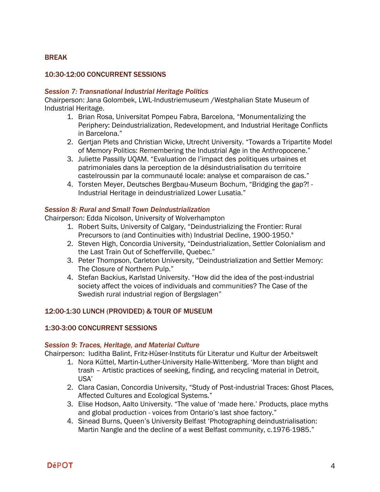## BREAK

### 10:30-12:00 CONCURRENT SESSIONS

#### *Session 7: Transnational Industrial Heritage Politics*

Chairperson: Jana Golombek, LWL-Industriemuseum /Westphalian State Museum of Industrial Heritage.

- 1. Brian Rosa, Universitat Pompeu Fabra, Barcelona, "Monumentalizing the Periphery: Deindustrialization, Redevelopment, and Industrial Heritage Conflicts in Barcelona."
- 2. Gertjan Plets and Christian Wicke, Utrecht University. "Towards a Tripartite Model of Memory Politics: Remembering the Industrial Age in the Anthropocene."
- 3. Juliette Passilly UQAM. "Evaluation de l'impact des politiques urbaines et patrimoniales dans la perception de la désindustrialisation du territoire castelroussin par la communauté locale: analyse et comparaison de cas."
- 4. Torsten Meyer, Deutsches Bergbau-Museum Bochum, "Bridging the gap?! Industrial Heritage in deindustrialized Lower Lusatia."

### *Session 8: Rural and Small Town Deindustrialization*

Chairperson: Edda Nicolson, University of Wolverhampton

- 1. Robert Suits, University of Calgary, "Deindustrializing the Frontier: Rural Precursors to (and Continuities with) Industrial Decline, 1900-1950."
- 2. Steven High, Concordia University, "Deindustrialization, Settler Colonialism and the Last Train Out of Schefferville, Quebec."
- 3. Peter Thompson, Carleton University, "Deindustrialization and Settler Memory: The Closure of Northern Pulp."
- 4. Stefan Backius, Karlstad University. "How did the idea of the post-industrial society affect the voices of individuals and communities? The Case of the Swedish rural industrial region of Bergslagen"

## 12:00-1:30 LUNCH (PROVIDED) & TOUR OF MUSEUM

## 1:30-3:00 CONCURRENT SESSIONS

#### *Session 9: Traces, Heritage, and Material Culture*

Chairperson: Iuditha Balint, Fritz-Hüser-Instituts für Literatur und Kultur der Arbeitswelt

- 1. Nora Küttel, Martin-Luther-University Halle-Wittenberg. 'More than blight and trash – Artistic practices of seeking, finding, and recycling material in Detroit, USA'
- 2. Clara Casian, Concordia University, "Study of Post-industrial Traces: Ghost Places, Affected Cultures and Ecological Systems."
- 3. Elise Hodson, Aalto University. "The value of 'made here.' Products, place myths and global production - voices from Ontario's last shoe factory."
- 4. Sinead Burns, Queen's University Belfast 'Photographing deindustrialisation: Martin Nangle and the decline of a west Belfast community, c.1976-1985."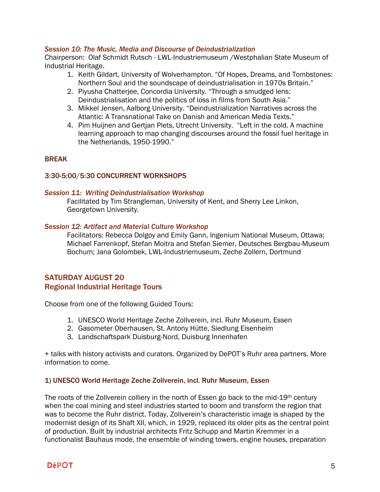## *Session 10: The Music, Media and Discourse of Deindustrialization*

Chairperson: Olaf Schmidt Rutsch - LWL-Industriemuseum /Westphalian State Museum of Industrial Heritage.

- 1. Keith Gildart, University of Wolverhampton. "Of Hopes, Dreams, and Tombstones: Northern Soul and the soundscape of deindustrialisation in 1970s Britain."
- 2. Piyusha Chatterjee, Concordia University. "Through a smudged lens: Deindustrialisation and the politics of loss in films from South Asia."
- 3. Mikkel Jensen, Aalborg University. "Deindustrialization Narratives across the Atlantic: A Transnational Take on Danish and American Media Texts."
- 4. Pim Huijnen and Gertjan Plets, Utrecht University. "Left in the cold. A machine learning approach to map changing discourses around the fossil fuel heritage in the Netherlands, 1950-1990."

## **BREAK**

## 3:30-5:00/5:30 CONCURRENT WORKSHOPS

### *Session 11: Writing Deindustrialisation Workshop*

Facilitated by Tim Strangleman, University of Kent, and Sherry Lee Linkon, Georgetown University.

### *Session 12: Artifact and Material Culture Workshop*

Facilitators: Rebecca Dolgoy and Emily Gann, Ingenium National Museum, Ottawa; Michael Farrenkopf, Stefan Moitra and Stefan Siemer, Deutsches Bergbau-Museum Bochum; Jana Golombek, LWL-Industriemuseum, Zeche Zollern, Dortmund

## SATURDAY AUGUST 20 Regional Industrial Heritage Tours

Choose from one of the following Guided Tours:

- 1. UNESCO World Heritage Zeche Zollverein, incl. Ruhr Museum, Essen
- 2. Gasometer Oberhausen, St. Antony Hütte, Siedlung Eisenheim
- 3. Landschaftspark Duisburg-Nord, Duisburg Innenhafen

+ talks with history activists and curators. Organized by DePOT's Ruhr area partners. More information to come.

## 1) UNESCO World Heritage Zeche Zollverein, incl. Ruhr Museum, Essen

The roots of the Zollverein colliery in the north of Essen go back to the mid-19th century when the coal mining and steel industries started to boom and transform the region that was to become the Ruhr district. Today, Zollverein's characteristic image is shaped by the modernist design of its Shaft XII, which, in 1929, replaced its older pits as the central point of production. Built by industrial architects Fritz Schupp and Martin Kremmer in a functionalist Bauhaus mode, the ensemble of winding towers, engine houses, preparation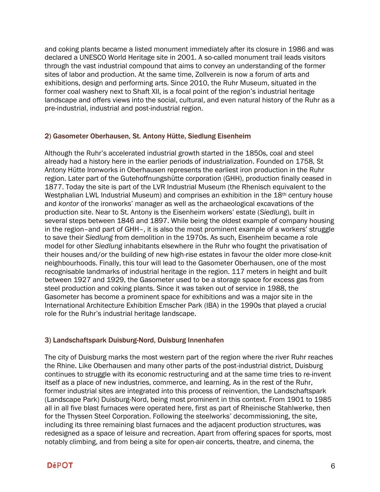and coking plants became a listed monument immediately after its closure in 1986 and was declared a UNESCO World Heritage site in 2001. A so-called monument trail leads visitors through the vast industrial compound that aims to convey an understanding of the former sites of labor and production. At the same time, Zollverein is now a forum of arts and exhibitions, design and performing arts. Since 2010, the Ruhr Museum, situated in the former coal washery next to Shaft XII, is a focal point of the region's industrial heritage landscape and offers views into the social, cultural, and even natural history of the Ruhr as a pre-industrial, industrial and post-industrial region.

### 2) Gasometer Oberhausen, St. Antony Hütte, Siedlung Eisenheim

Although the Ruhr's accelerated industrial growth started in the 1850s, coal and steel already had a history here in the earlier periods of industrialization. Founded on 1758, St Antony Hütte Ironworks in Oberhausen represents the earliest iron production in the Ruhr region. Later part of the Gutehoffnungshütte corporation (GHH), production finally ceased in 1877. Today the site is part of the LVR Industrial Museum (the Rhenisch equivalent to the Westphalian LWL Industrial Museum) and comprises an exhibition in the 18<sup>th</sup> century house and *kontor* of the ironworks' manager as well as the archaeological excavations of the production site. Near to St. Antony is the Eisenheim workers' estate (*Siedlung*), built in several steps between 1846 and 1897. While being the oldest example of company housing in the region–and part of GHH–, it is also the most prominent example of a workers' struggle to save their *Siedlung* from demolition in the 1970s. As such, Eisenheim became a role model for other *Siedlung* inhabitants elsewhere in the Ruhr who fought the privatisation of their houses and/or the building of new high-rise estates in favour the older more close-knit neighbourhoods. Finally, this tour will lead to the Gasometer Oberhausen, one of the most recognisable landmarks of industrial heritage in the region. 117 meters in height and built between 1927 and 1929, the Gasometer used to be a storage space for excess gas from steel production and coking plants. Since it was taken out of service in 1988, the Gasometer has become a prominent space for exhibitions and was a major site in the International Architecture Exhibition Emscher Park (IBA) in the 1990s that played a crucial role for the Ruhr's industrial heritage landscape.

## 3) Landschaftspark Duisburg-Nord, Duisburg Innenhafen

The city of Duisburg marks the most western part of the region where the river Ruhr reaches the Rhine. Like Oberhausen and many other parts of the post-industrial district, Duisburg continues to struggle with its economic restructuring and at the same time tries to re-invent itself as a place of new industries, commerce, and learning. As in the rest of the Ruhr, former industrial sites are integrated into this process of reinvention, the Landschaftspark (Landscape Park) Duisburg-Nord, being most prominent in this context. From 1901 to 1985 all in all five blast furnaces were operated here, first as part of Rheinische Stahlwerke, then for the Thyssen Steel Corporation. Following the steelworks' decommissioning, the site, including its three remaining blast furnaces and the adjacent production structures, was redesigned as a space of leisure and recreation. Apart from offering spaces for sports, most notably climbing, and from being a site for open-air concerts, theatre, and cinema, the